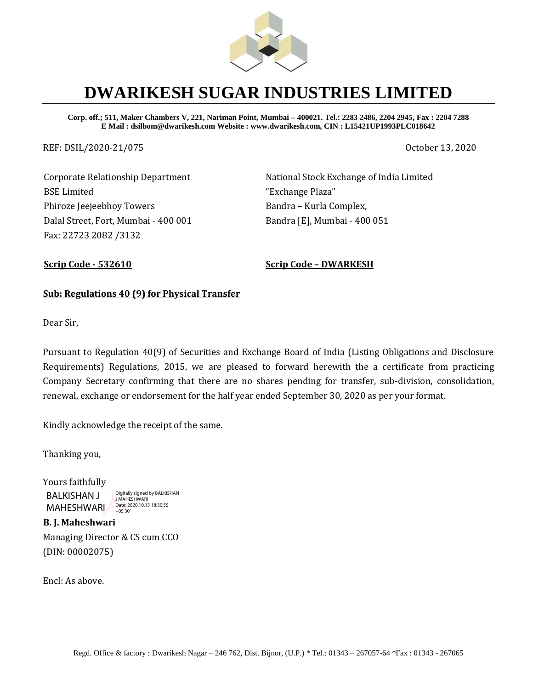

# **DWARIKESH SUGAR INDUSTRIES LIMITED**

**Corp. off.; 511, Maker Chambers V, 221, Nariman Point, Mumbai – 400021. Tel.: 2283 2486, 2204 2945, Fax : 2204 7288 E Mail : dsilbom@dwarikesh.com Website : www.dwarikesh.com, CIN : L15421UP1993PLC018642**

REF: DSIL/2020-21/075 October 13, 2020

Corporate Relationship Department BSE Limited Phiroze Jeejeebhoy Towers Dalal Street, Fort, Mumbai - 400 001 Fax: 22723 2082 /3132

National Stock Exchange of India Limited "Exchange Plaza" Bandra – Kurla Complex, Bandra [E], Mumbai - 400 051

**Scrip Code - 532610 Scrip Code – DWARKESH**

### **Sub: Regulations 40 (9) for Physical Transfer**

Dear Sir,

Pursuant to Regulation 40(9) of Securities and Exchange Board of India (Listing Obligations and Disclosure Requirements) Regulations, 2015, we are pleased to forward herewith the a certificate from practicing Company Secretary confirming that there are no shares pending for transfer, sub-division, consolidation, renewal, exchange or endorsement for the half year ended September 30, 2020 as per your format.

Kindly acknowledge the receipt of the same.

Thanking you,

Yours faithfully BALKISHAN J MAHESHWARI 2020.10.13 18:30:55 Digitally signed by BALKISHAN J MAHESHWARI

**B. J. Maheshwari**  Managing Director & CS cum CCO (DIN: 00002075)

Encl: As above.